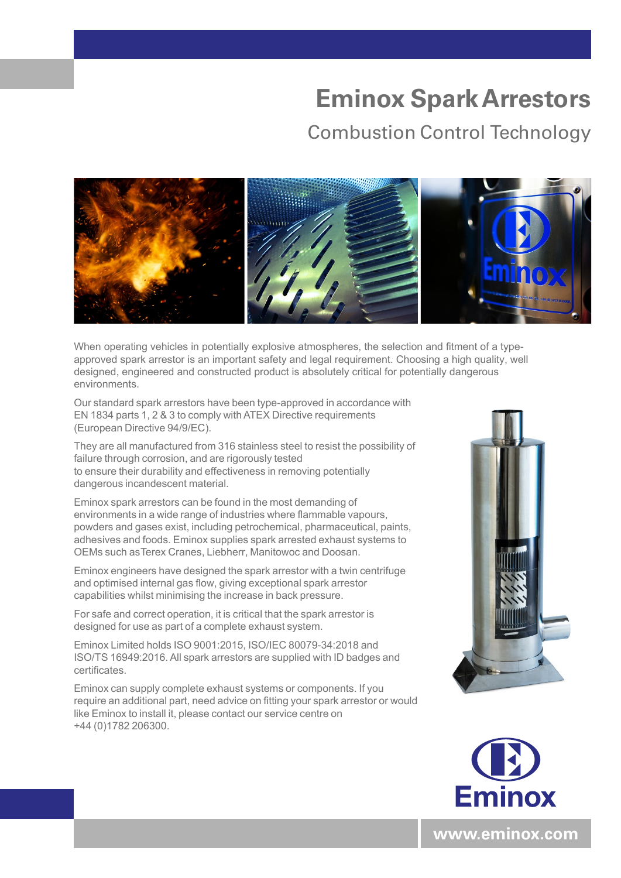## **Eminox Spark Arrestors**

## Combustion Control Technology



When operating vehicles in potentially explosive atmospheres, the selection and fitment of a typeapproved spark arrestor is an important safety and legal requirement. Choosing a high quality, well designed, engineered and constructed product is absolutely critical for potentially dangerous environments.

Our standard spark arrestors have been type-approved in accordance with EN 1834 parts 1, 2 & 3 to comply with ATEX Directive requirements (European Directive 94/9/EC).

They are all manufactured from 316 stainless steel to resist the possibility of failure through corrosion, and are rigorously tested to ensure their durability and effectiveness in removing potentially dangerous incandescent material.

Eminox spark arrestors can be found in the most demanding of environments in a wide range of industries where flammable vapours, powders and gases exist, including petrochemical, pharmaceutical, paints, adhesives and foods. Eminox supplies spark arrested exhaust systems to OEMs such as Terex Cranes, Liebherr, Manitowoc and Doosan.

Eminox engineers have designed the spark arrestor with a twin centrifuge and optimised internal gas flow, giving exceptional spark arrestor capabilities whilst minimising the increase in back pressure.

For safe and correct operation, it is critical that the spark arrestor is designed for use as part of a complete exhaust system.

Eminox Limited holds ISO 9001:2015, ISO/IEC 80079-34:2018 and ISO/TS 16949:2016. All spark arrestors are supplied with ID badges and certificates.

Eminox can supply complete exhaust systems or components. If you require an additional part, need advice on fitting your spark arrestor or would like Eminox to install it, please contact our service centre on +44 (0)1782 206300.





**www.eminox.com**